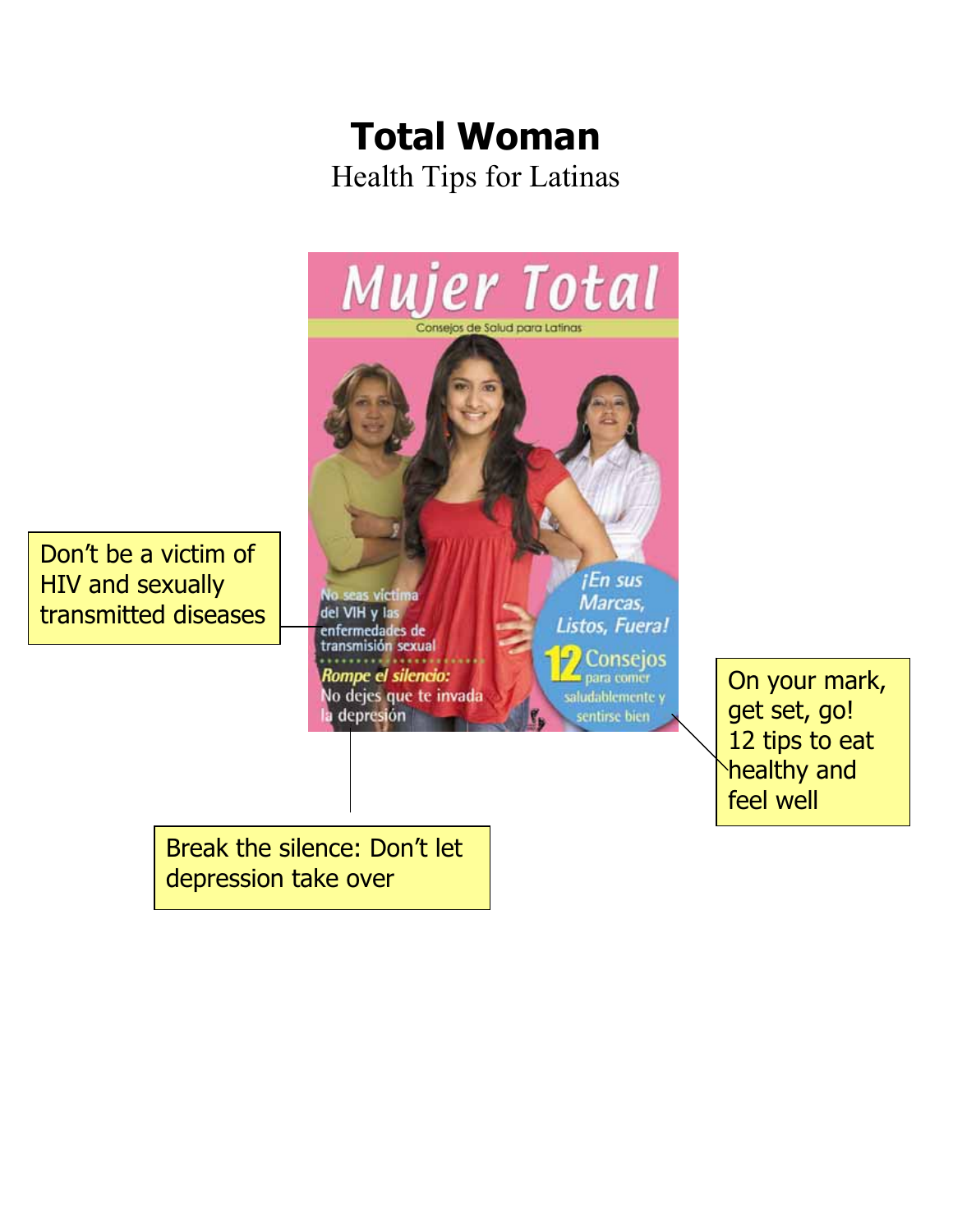# **Total Woman**  Health Tips for Latinas



On your mark, get set, go! 12 tips to eat healthy and feel well

Break the silence: Don't let depression take over

HIV and sexually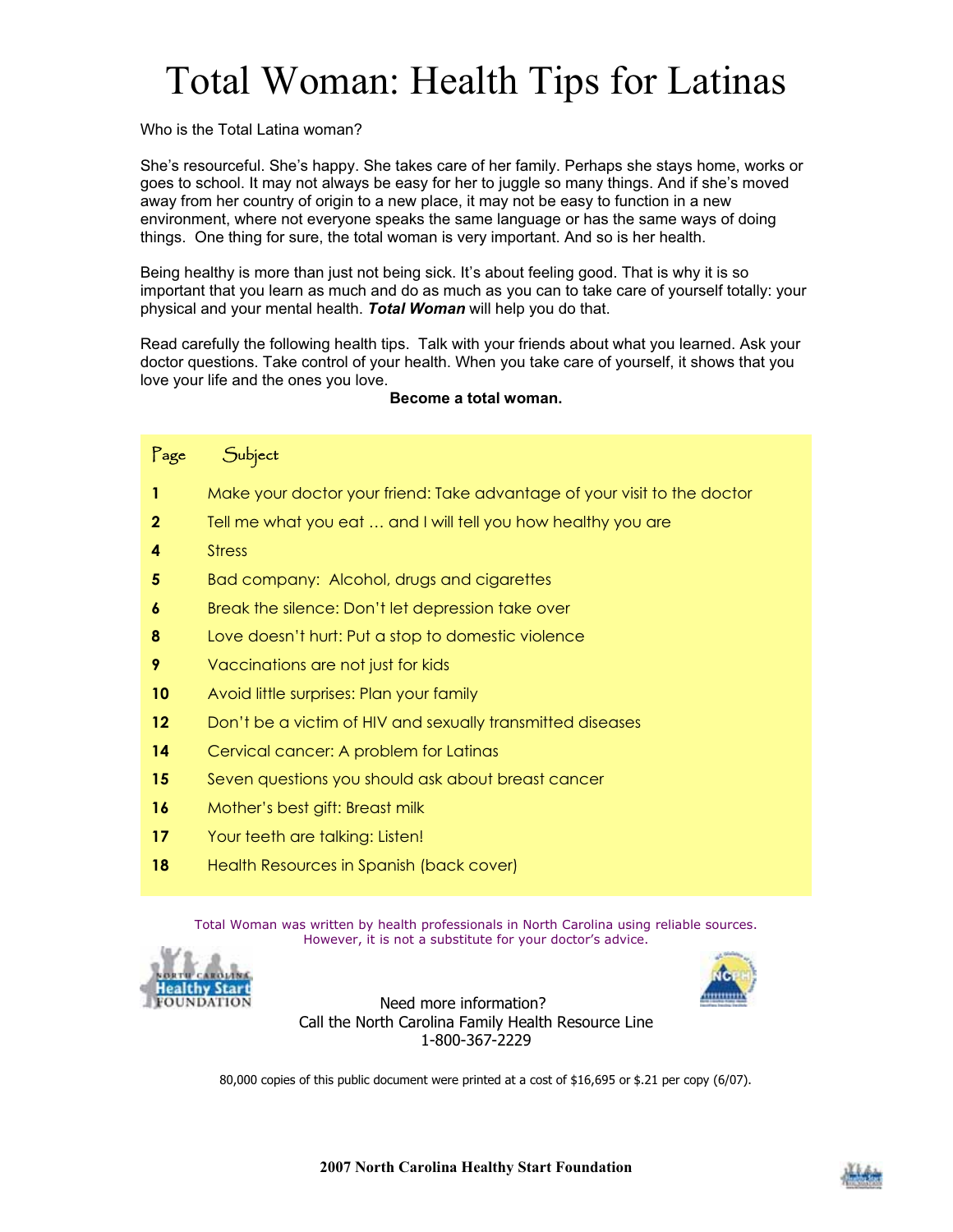# Total Woman: Health Tips for Latinas

Who is the Total Latina woman?

She's resourceful. She's happy. She takes care of her family. Perhaps she stays home, works or goes to school. It may not always be easy for her to juggle so many things. And if she's moved away from her country of origin to a new place, it may not be easy to function in a new environment, where not everyone speaks the same language or has the same ways of doing things. One thing for sure, the total woman is very important. And so is her health.

Being healthy is more than just not being sick. It's about feeling good. That is why it is so important that you learn as much and do as much as you can to take care of yourself totally: your physical and your mental health. *Total Woman* will help you do that.

Read carefully the following health tips. Talk with your friends about what you learned. Ask your doctor questions. Take control of your health. When you take care of yourself, it shows that you love your life and the ones you love.

#### **Become a total woman.**

| Page    | Subject                                                                  |
|---------|--------------------------------------------------------------------------|
| 1       | Make your doctor your friend: Take advantage of your visit to the doctor |
| 2       | Tell me what you eat  and I will tell you how healthy you are            |
| 4       | <b>Stress</b>                                                            |
| 5       | Bad company: Alcohol, drugs and cigarettes                               |
| 6       | Break the silence: Don't let depression take over                        |
| 8       | Love doesn't hurt: Put a stop to domestic violence                       |
| 9       | Vaccinations are not just for kids                                       |
| 10      | Avoid little surprises: Plan your family                                 |
| $12 \,$ | Don't be a victim of HIV and sexually transmitted diseases               |
| 14      | Cervical cancer: A problem for Latinas                                   |
| 15      | Seven questions you should ask about breast cancer                       |
| 16      | Mother's best gift: Breast milk                                          |
| 17      | Your teeth are talking: Listen!                                          |
| 18      | Health Resources in Spanish (back cover)                                 |

Total Woman was written by health professionals in North Carolina using reliable sources. However, it is not a substitute for your doctor's advice.





Need more information? Call the North Carolina Family Health Resource Line 1-800-367-2229

80,000 copies of this public document were printed at a cost of \$16,695 or \$.21 per copy (6/07).

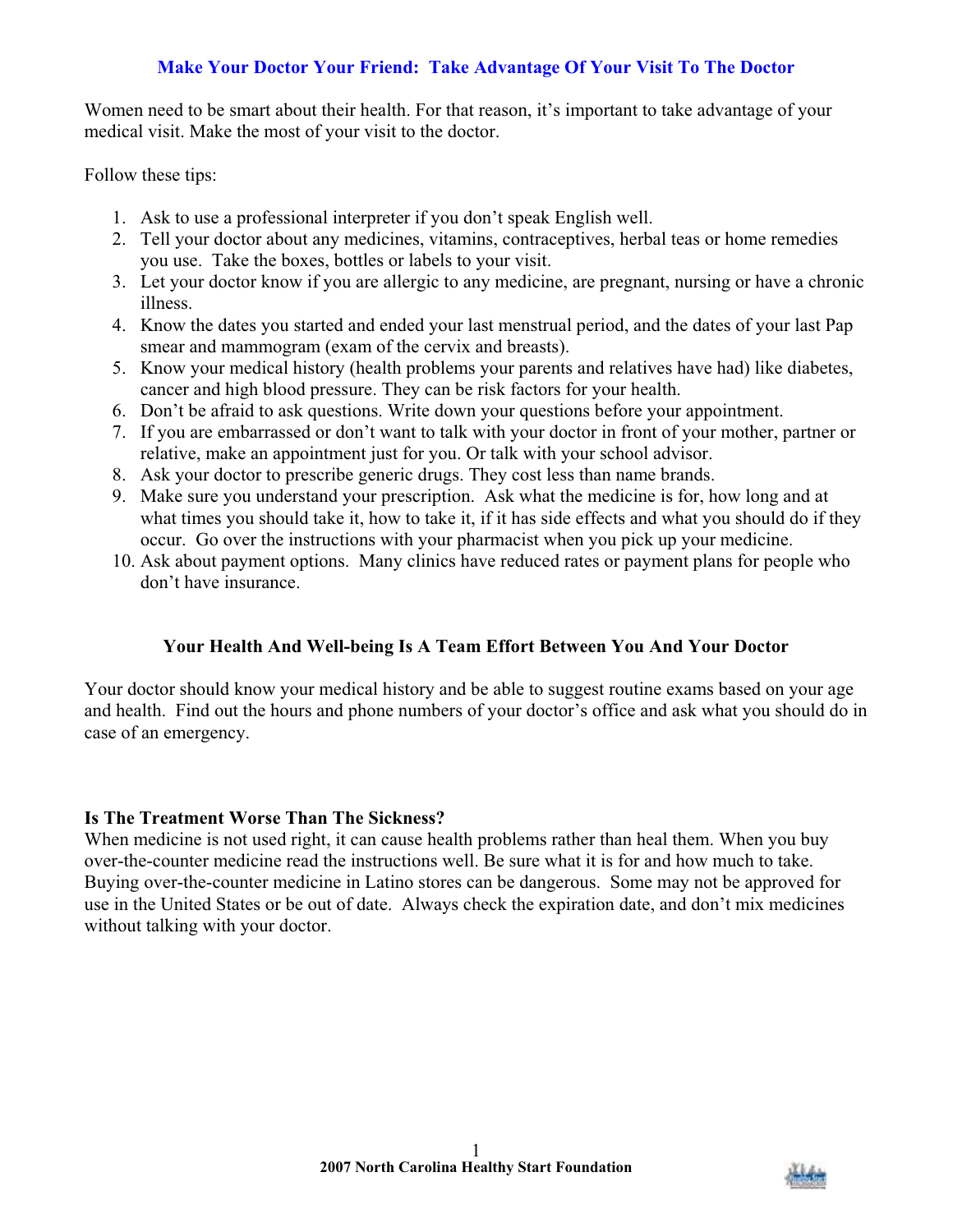# **Make Your Doctor Your Friend: Take Advantage Of Your Visit To The Doctor**

Women need to be smart about their health. For that reason, it's important to take advantage of your medical visit. Make the most of your visit to the doctor.

Follow these tips:

- 1. Ask to use a professional interpreter if you don't speak English well.
- 2. Tell your doctor about any medicines, vitamins, contraceptives, herbal teas or home remedies you use. Take the boxes, bottles or labels to your visit.
- 3. Let your doctor know if you are allergic to any medicine, are pregnant, nursing or have a chronic illness.
- 4. Know the dates you started and ended your last menstrual period, and the dates of your last Pap smear and mammogram (exam of the cervix and breasts).
- 5. Know your medical history (health problems your parents and relatives have had) like diabetes, cancer and high blood pressure. They can be risk factors for your health.
- 6. Don't be afraid to ask questions. Write down your questions before your appointment.
- 7. If you are embarrassed or don't want to talk with your doctor in front of your mother, partner or relative, make an appointment just for you. Or talk with your school advisor.
- 8. Ask your doctor to prescribe generic drugs. They cost less than name brands.
- 9. Make sure you understand your prescription. Ask what the medicine is for, how long and at what times you should take it, how to take it, if it has side effects and what you should do if they occur. Go over the instructions with your pharmacist when you pick up your medicine.
- 10. Ask about payment options. Many clinics have reduced rates or payment plans for people who don't have insurance.

# **Your Health And Well-being Is A Team Effort Between You And Your Doctor**

Your doctor should know your medical history and be able to suggest routine exams based on your age and health. Find out the hours and phone numbers of your doctor's office and ask what you should do in case of an emergency.

#### **Is The Treatment Worse Than The Sickness?**

When medicine is not used right, it can cause health problems rather than heal them. When you buy over-the-counter medicine read the instructions well. Be sure what it is for and how much to take. Buying over-the-counter medicine in Latino stores can be dangerous. Some may not be approved for use in the United States or be out of date. Always check the expiration date, and don't mix medicines without talking with your doctor.

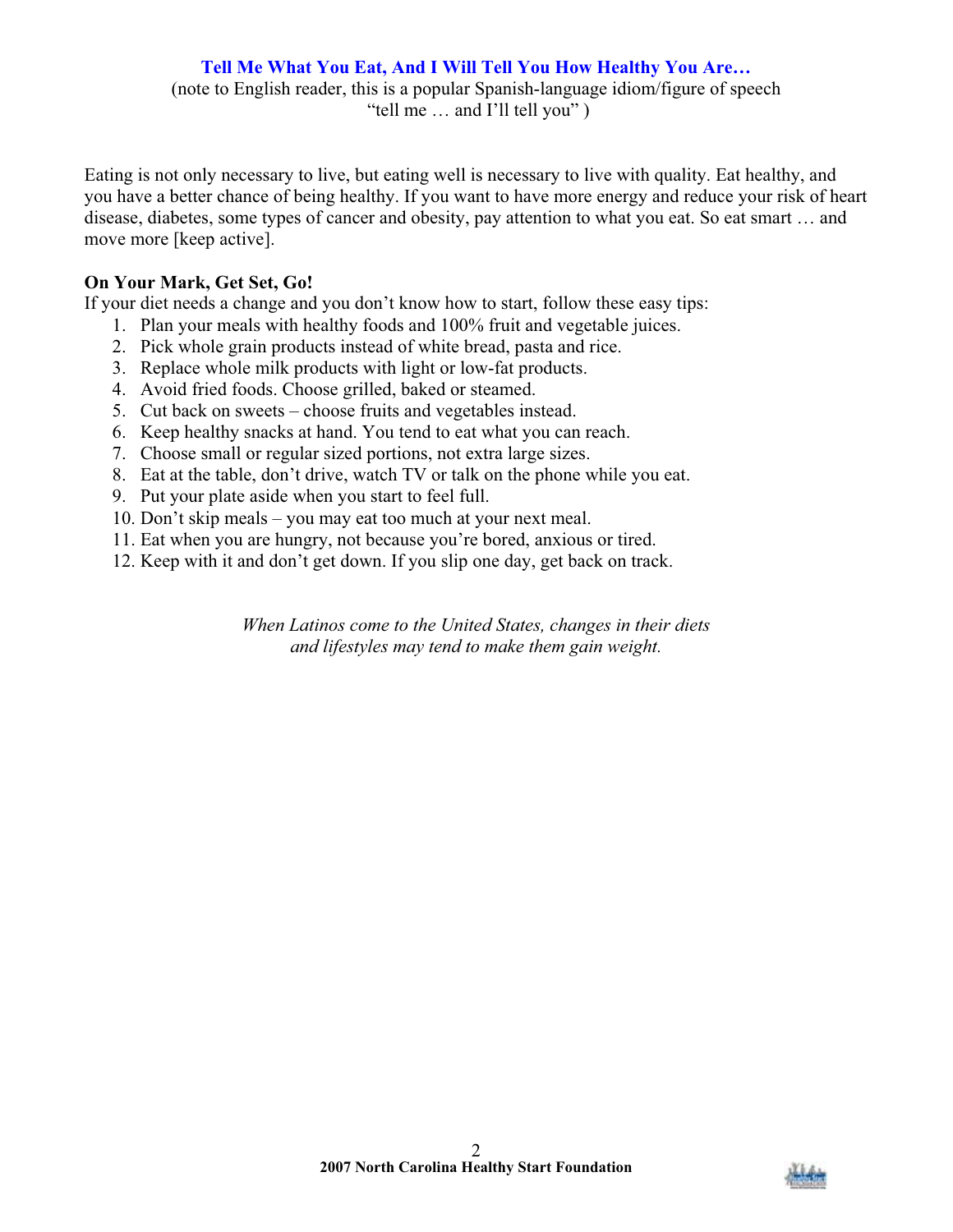# **Tell Me What You Eat, And I Will Tell You How Healthy You Are…**

(note to English reader, this is a popular Spanish-language idiom/figure of speech "tell me … and I'll tell you" )

Eating is not only necessary to live, but eating well is necessary to live with quality. Eat healthy, and you have a better chance of being healthy. If you want to have more energy and reduce your risk of heart disease, diabetes, some types of cancer and obesity, pay attention to what you eat. So eat smart … and move more [keep active].

# **On Your Mark, Get Set, Go!**

If your diet needs a change and you don't know how to start, follow these easy tips:

- 1. Plan your meals with healthy foods and 100% fruit and vegetable juices.
- 2. Pick whole grain products instead of white bread, pasta and rice.
- 3. Replace whole milk products with light or low-fat products.
- 4. Avoid fried foods. Choose grilled, baked or steamed.
- 5. Cut back on sweets choose fruits and vegetables instead.
- 6. Keep healthy snacks at hand. You tend to eat what you can reach.
- 7. Choose small or regular sized portions, not extra large sizes.
- 8. Eat at the table, don't drive, watch TV or talk on the phone while you eat.
- 9. Put your plate aside when you start to feel full.
- 10. Don't skip meals you may eat too much at your next meal.
- 11. Eat when you are hungry, not because you're bored, anxious or tired.
- 12. Keep with it and don't get down. If you slip one day, get back on track.

*When Latinos come to the United States, changes in their diets and lifestyles may tend to make them gain weight.* 

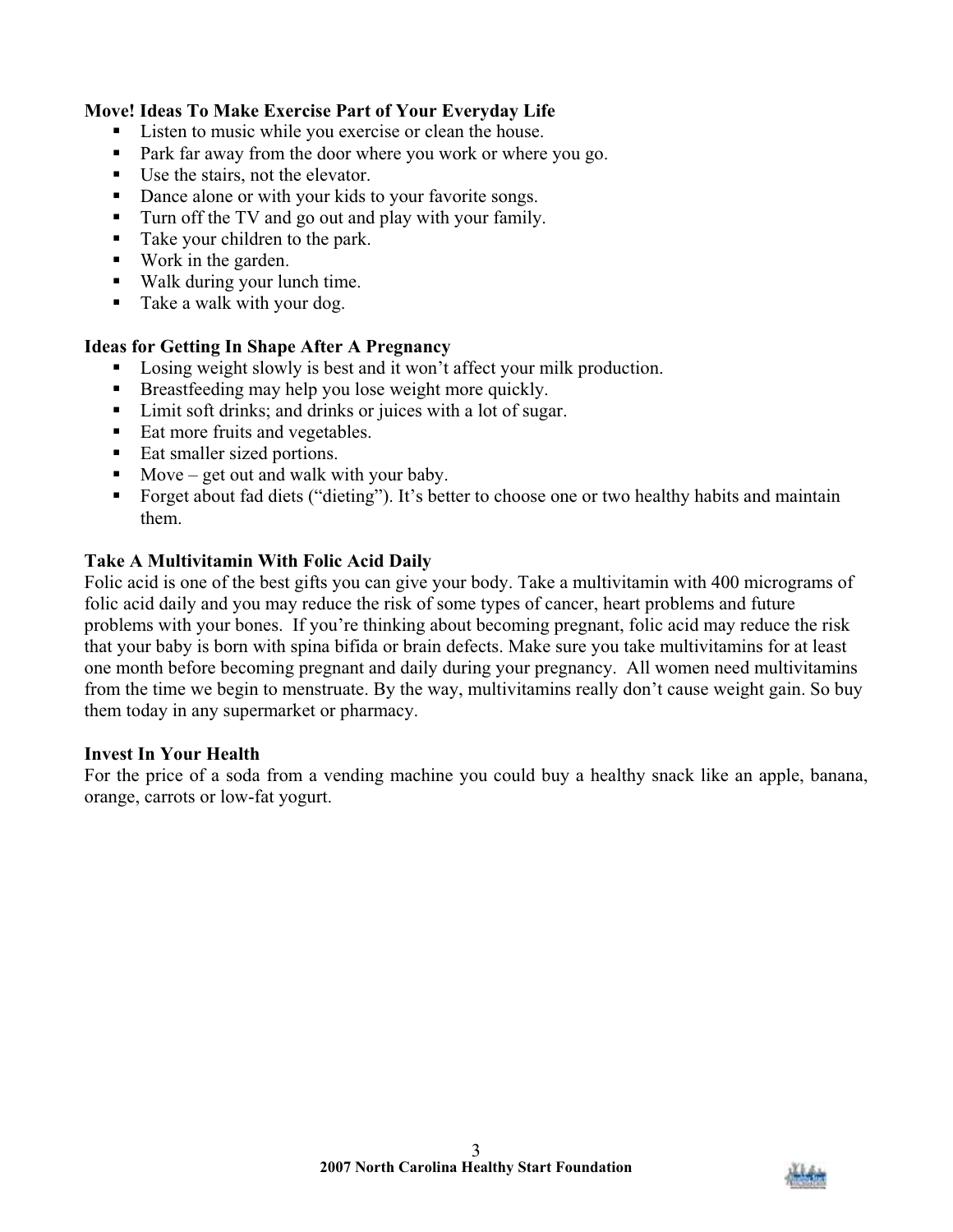## **Move! Ideas To Make Exercise Part of Your Everyday Life**

- Listen to music while you exercise or clean the house.
- Park far away from the door where you work or where you go.
- Use the stairs, not the elevator.
- Dance alone or with your kids to your favorite songs.
- Turn off the TV and go out and play with your family.
- Take your children to the park.
- Work in the garden.
- Walk during your lunch time.
- Take a walk with your dog.

#### **Ideas for Getting In Shape After A Pregnancy**

- **Losing weight slowly is best and it won't affect your milk production.**
- Breastfeeding may help you lose weight more quickly.
- Limit soft drinks; and drinks or juices with a lot of sugar.
- Eat more fruits and vegetables.
- Eat smaller sized portions.
- $\blacksquare$  Move get out and walk with your baby.
- Forget about fad diets ("dieting"). It's better to choose one or two healthy habits and maintain them.

#### **Take A Multivitamin With Folic Acid Daily**

Folic acid is one of the best gifts you can give your body. Take a multivitamin with 400 micrograms of folic acid daily and you may reduce the risk of some types of cancer, heart problems and future problems with your bones. If you're thinking about becoming pregnant, folic acid may reduce the risk that your baby is born with spina bifida or brain defects. Make sure you take multivitamins for at least one month before becoming pregnant and daily during your pregnancy. All women need multivitamins from the time we begin to menstruate. By the way, multivitamins really don't cause weight gain. So buy them today in any supermarket or pharmacy.

#### **Invest In Your Health**

For the price of a soda from a vending machine you could buy a healthy snack like an apple, banana, orange, carrots or low-fat yogurt.

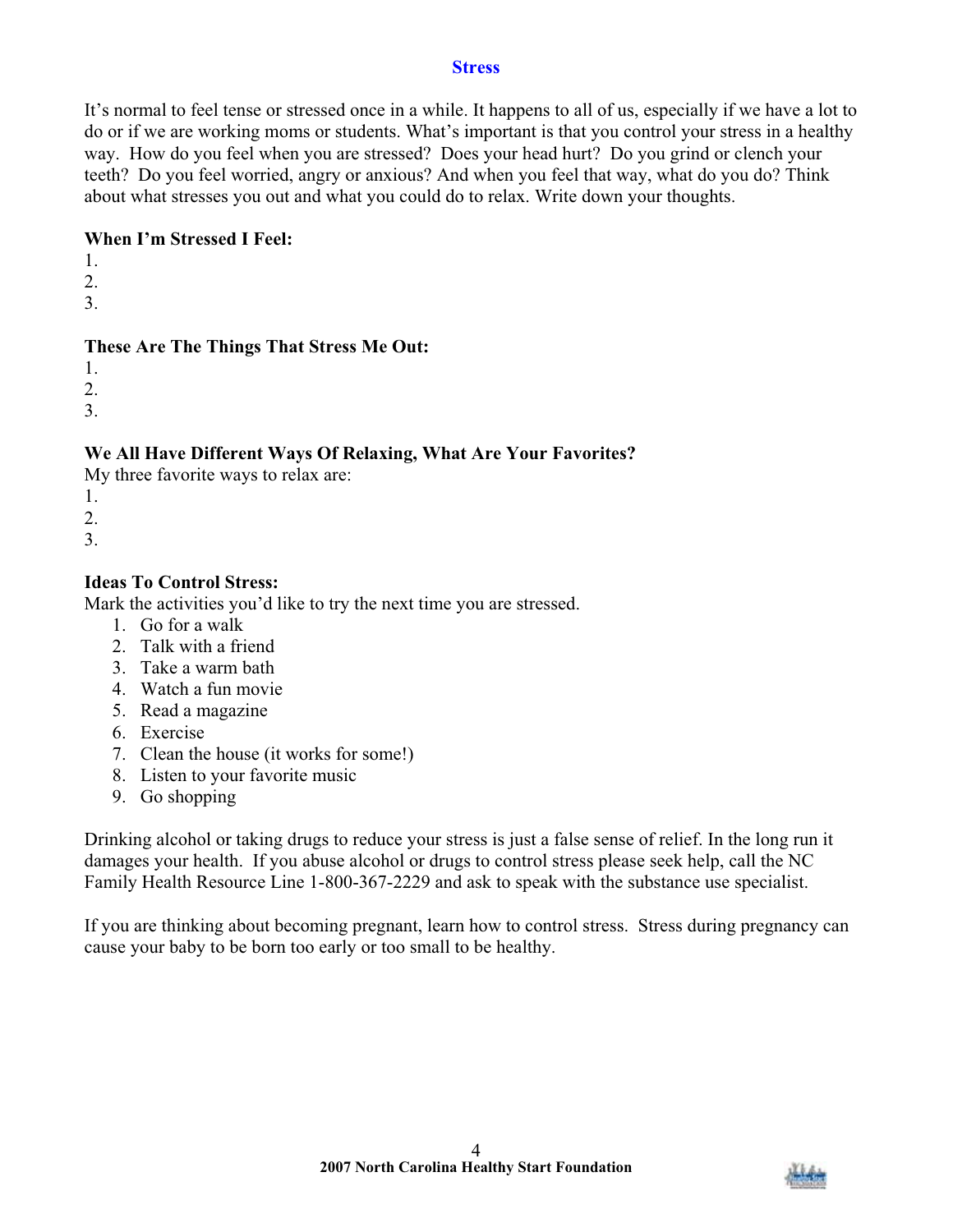#### **Stress**

It's normal to feel tense or stressed once in a while. It happens to all of us, especially if we have a lot to do or if we are working moms or students. What's important is that you control your stress in a healthy way. How do you feel when you are stressed? Does your head hurt? Do you grind or clench your teeth? Do you feel worried, angry or anxious? And when you feel that way, what do you do? Think about what stresses you out and what you could do to relax. Write down your thoughts.

#### **When I'm Stressed I Feel:**

- 1.
- 2.
- 3.

# **These Are The Things That Stress Me Out:**

- 1.
- 2.
- 3.

# **We All Have Different Ways Of Relaxing, What Are Your Favorites?**

My three favorite ways to relax are:

- 1.
- 2.
- 3.

# **Ideas To Control Stress:**

Mark the activities you'd like to try the next time you are stressed.

- 1. Go for a walk
- 2. Talk with a friend
- 3. Take a warm bath
- 4. Watch a fun movie
- 5. Read a magazine
- 6. Exercise
- 7. Clean the house (it works for some!)
- 8. Listen to your favorite music
- 9. Go shopping

Drinking alcohol or taking drugs to reduce your stress is just a false sense of relief. In the long run it damages your health. If you abuse alcohol or drugs to control stress please seek help, call the NC Family Health Resource Line 1-800-367-2229 and ask to speak with the substance use specialist.

If you are thinking about becoming pregnant, learn how to control stress. Stress during pregnancy can cause your baby to be born too early or too small to be healthy.

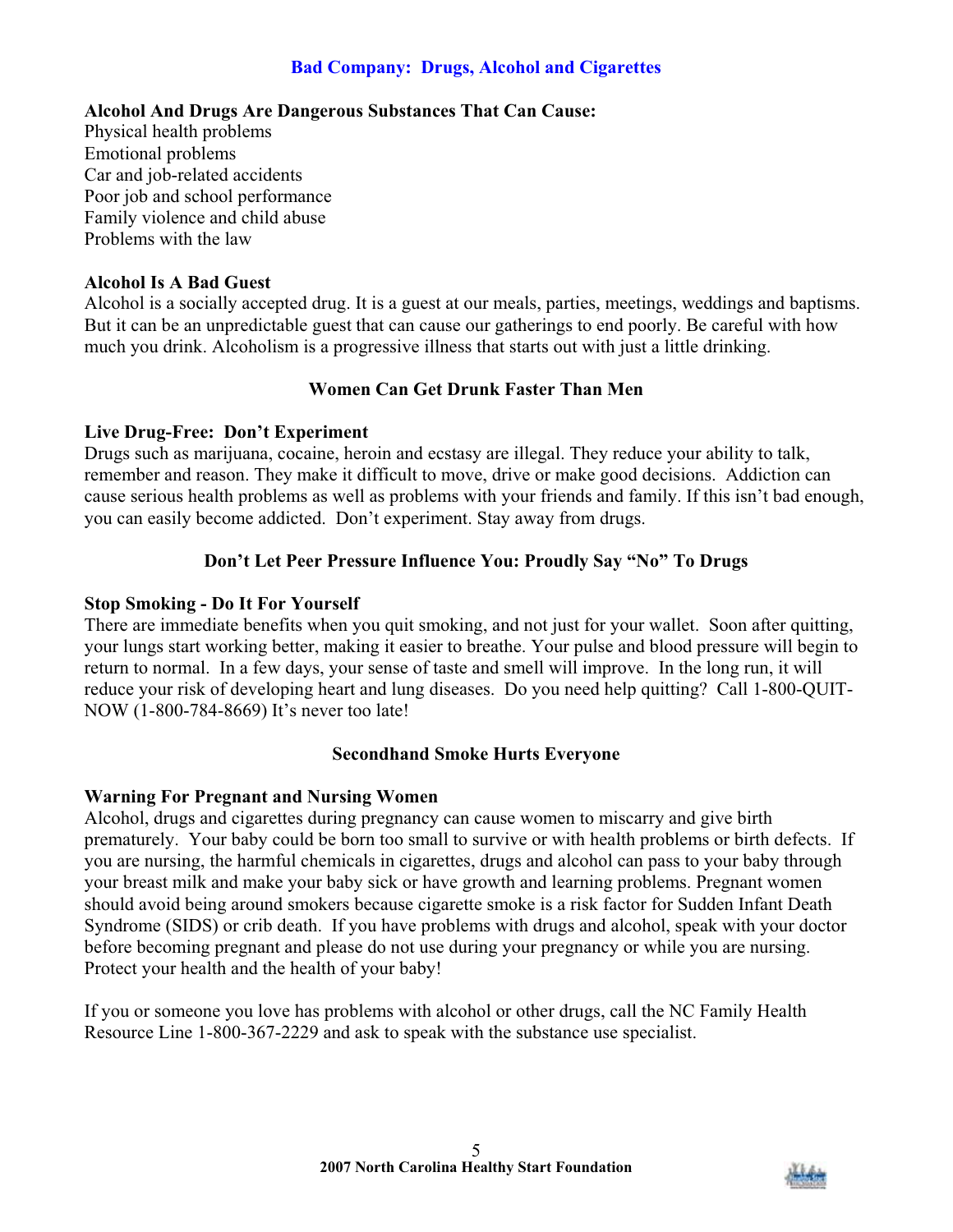# **Bad Company: Drugs, Alcohol and Cigarettes**

## **Alcohol And Drugs Are Dangerous Substances That Can Cause:**

Physical health problems Emotional problems Car and job-related accidents Poor job and school performance Family violence and child abuse Problems with the law

## **Alcohol Is A Bad Guest**

Alcohol is a socially accepted drug. It is a guest at our meals, parties, meetings, weddings and baptisms. But it can be an unpredictable guest that can cause our gatherings to end poorly. Be careful with how much you drink. Alcoholism is a progressive illness that starts out with just a little drinking.

# **Women Can Get Drunk Faster Than Men**

## **Live Drug-Free: Don't Experiment**

Drugs such as marijuana, cocaine, heroin and ecstasy are illegal. They reduce your ability to talk, remember and reason. They make it difficult to move, drive or make good decisions. Addiction can cause serious health problems as well as problems with your friends and family. If this isn't bad enough, you can easily become addicted. Don't experiment. Stay away from drugs.

# **Don't Let Peer Pressure Influence You: Proudly Say "No" To Drugs**

## **Stop Smoking - Do It For Yourself**

There are immediate benefits when you quit smoking, and not just for your wallet. Soon after quitting, your lungs start working better, making it easier to breathe. Your pulse and blood pressure will begin to return to normal. In a few days, your sense of taste and smell will improve. In the long run, it will reduce your risk of developing heart and lung diseases. Do you need help quitting? Call 1-800-QUIT-NOW (1-800-784-8669) It's never too late!

# **Secondhand Smoke Hurts Everyone**

# **Warning For Pregnant and Nursing Women**

Alcohol, drugs and cigarettes during pregnancy can cause women to miscarry and give birth prematurely. Your baby could be born too small to survive or with health problems or birth defects. If you are nursing, the harmful chemicals in cigarettes, drugs and alcohol can pass to your baby through your breast milk and make your baby sick or have growth and learning problems. Pregnant women should avoid being around smokers because cigarette smoke is a risk factor for Sudden Infant Death Syndrome (SIDS) or crib death. If you have problems with drugs and alcohol, speak with your doctor before becoming pregnant and please do not use during your pregnancy or while you are nursing. Protect your health and the health of your baby!

If you or someone you love has problems with alcohol or other drugs, call the NC Family Health Resource Line 1-800-367-2229 and ask to speak with the substance use specialist.

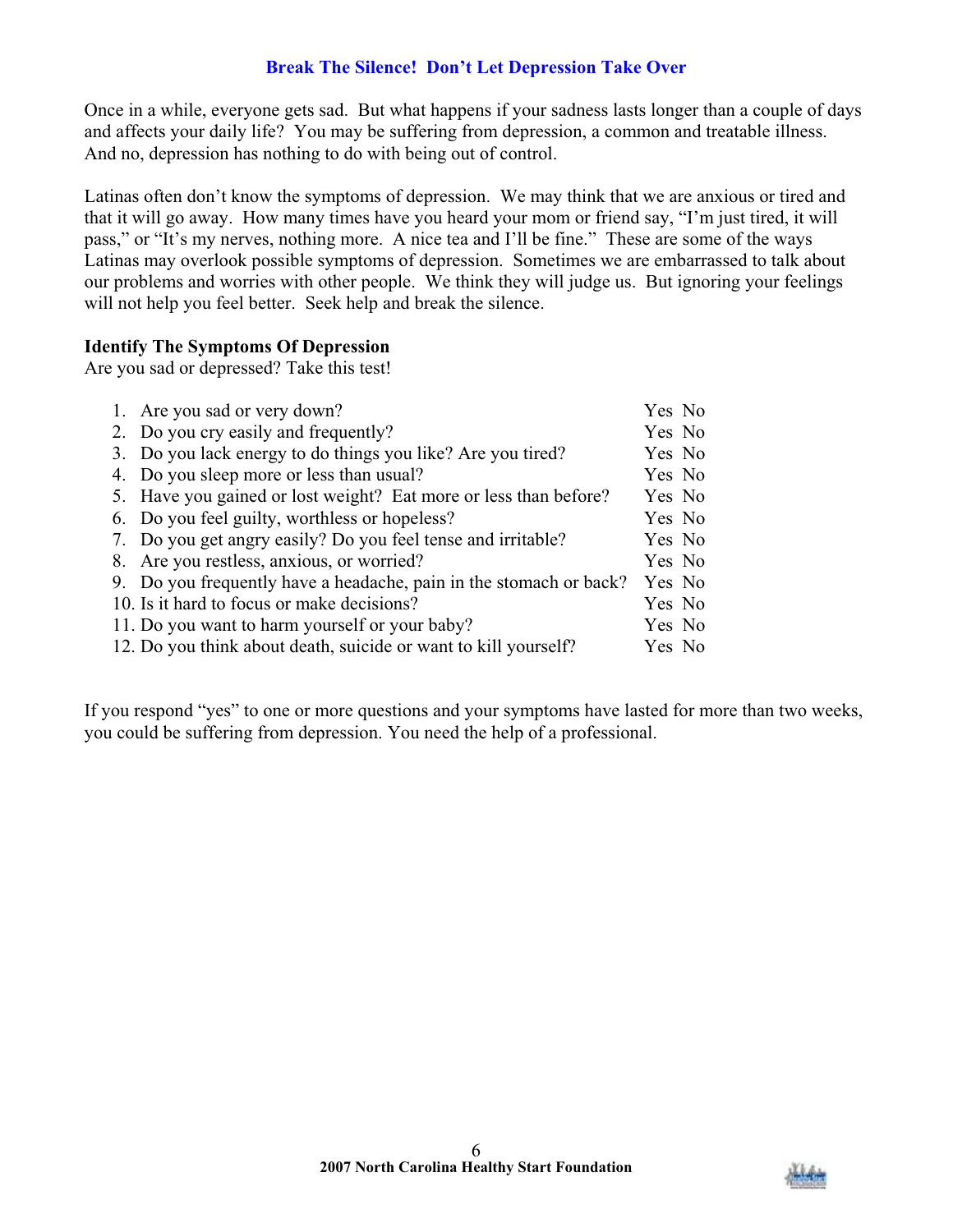# **Break The Silence! Don't Let Depression Take Over**

Once in a while, everyone gets sad. But what happens if your sadness lasts longer than a couple of days and affects your daily life? You may be suffering from depression, a common and treatable illness. And no, depression has nothing to do with being out of control.

Latinas often don't know the symptoms of depression. We may think that we are anxious or tired and that it will go away. How many times have you heard your mom or friend say, "I'm just tired, it will pass," or "It's my nerves, nothing more. A nice tea and I'll be fine." These are some of the ways Latinas may overlook possible symptoms of depression. Sometimes we are embarrassed to talk about our problems and worries with other people. We think they will judge us. But ignoring your feelings will not help you feel better. Seek help and break the silence.

## **Identify The Symptoms Of Depression**

Are you sad or depressed? Take this test!

| 1. Are you sad or very down?                                       | Yes No |  |
|--------------------------------------------------------------------|--------|--|
| 2. Do you cry easily and frequently?                               | Yes No |  |
| 3. Do you lack energy to do things you like? Are you tired?        | Yes No |  |
| 4. Do you sleep more or less than usual?                           | Yes No |  |
| 5. Have you gained or lost weight? Eat more or less than before?   | Yes No |  |
| 6. Do you feel guilty, worthless or hopeless?                      | Yes No |  |
| 7. Do you get angry easily? Do you feel tense and irritable?       | Yes No |  |
| 8. Are you restless, anxious, or worried?                          | Yes No |  |
| 9. Do you frequently have a headache, pain in the stomach or back? | Yes No |  |
| 10. Is it hard to focus or make decisions?                         | Yes No |  |
| 11. Do you want to harm yourself or your baby?                     | Yes No |  |
| 12. Do you think about death, suicide or want to kill yourself?    | Yes No |  |

If you respond "yes" to one or more questions and your symptoms have lasted for more than two weeks, you could be suffering from depression. You need the help of a professional.

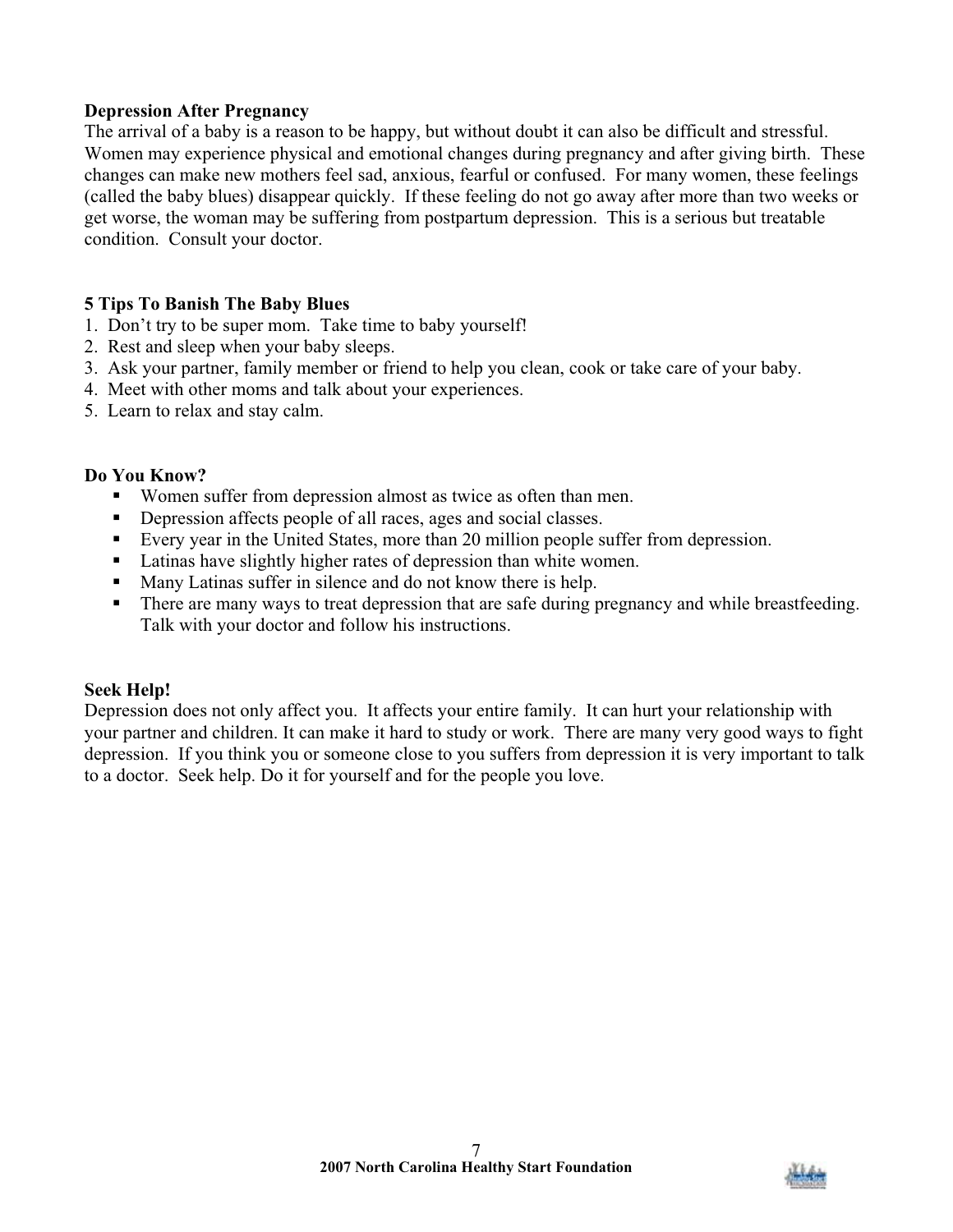# **Depression After Pregnancy**

The arrival of a baby is a reason to be happy, but without doubt it can also be difficult and stressful. Women may experience physical and emotional changes during pregnancy and after giving birth. These changes can make new mothers feel sad, anxious, fearful or confused. For many women, these feelings (called the baby blues) disappear quickly. If these feeling do not go away after more than two weeks or get worse, the woman may be suffering from postpartum depression. This is a serious but treatable condition. Consult your doctor.

## **5 Tips To Banish The Baby Blues**

- 1. Don't try to be super mom. Take time to baby yourself!
- 2. Rest and sleep when your baby sleeps.
- 3. Ask your partner, family member or friend to help you clean, cook or take care of your baby.
- 4. Meet with other moms and talk about your experiences.
- 5. Learn to relax and stay calm.

## **Do You Know?**

- Women suffer from depression almost as twice as often than men.
- Depression affects people of all races, ages and social classes.
- Every year in the United States, more than 20 million people suffer from depression.
- Latinas have slightly higher rates of depression than white women.
- **Many Latinas suffer in silence and do not know there is help.**
- There are many ways to treat depression that are safe during pregnancy and while breastfeeding. Talk with your doctor and follow his instructions.

#### **Seek Help!**

Depression does not only affect you. It affects your entire family. It can hurt your relationship with your partner and children. It can make it hard to study or work. There are many very good ways to fight depression. If you think you or someone close to you suffers from depression it is very important to talk to a doctor. Seek help. Do it for yourself and for the people you love.

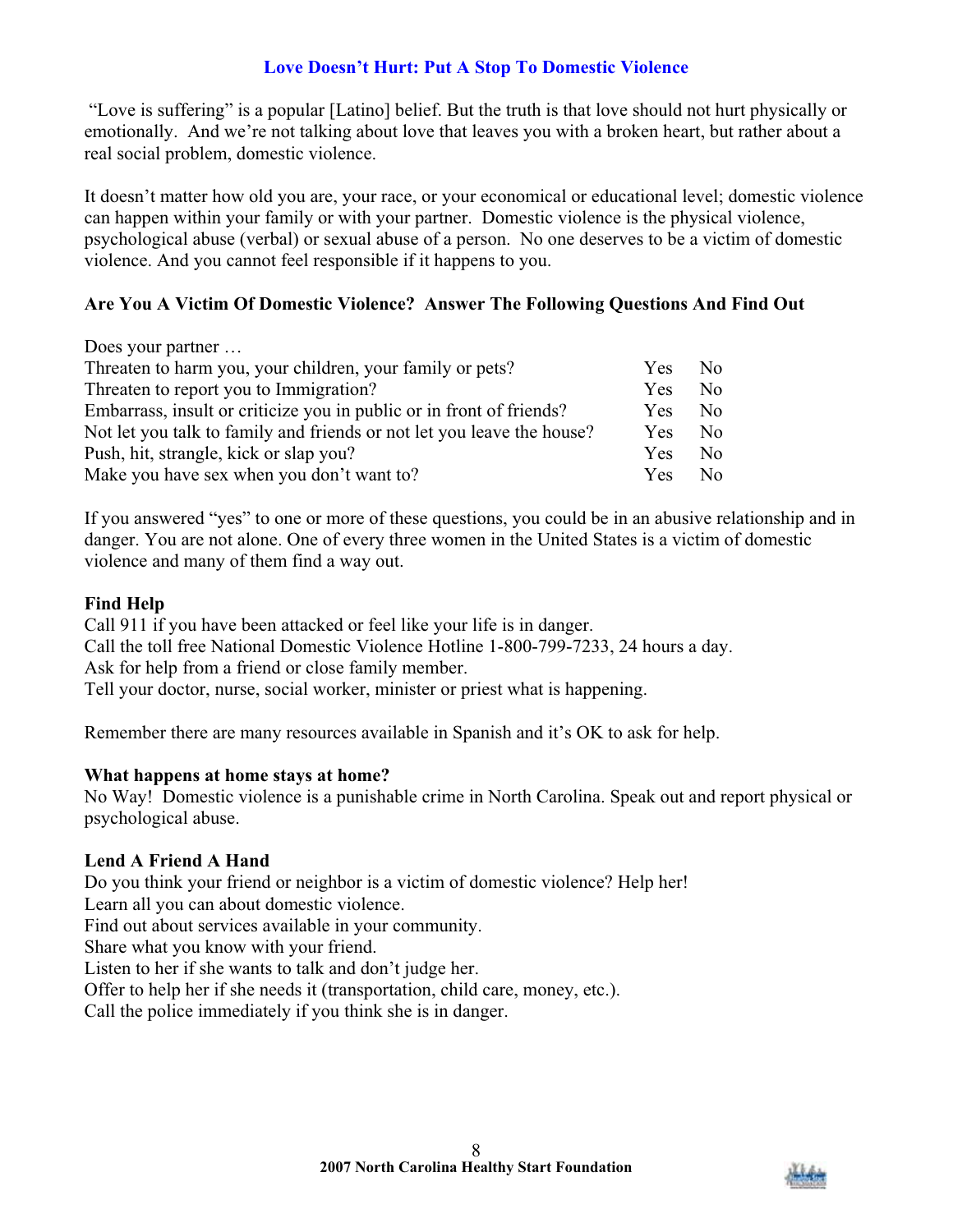# **Love Doesn't Hurt: Put A Stop To Domestic Violence**

 "Love is suffering" is a popular [Latino] belief. But the truth is that love should not hurt physically or emotionally. And we're not talking about love that leaves you with a broken heart, but rather about a real social problem, domestic violence.

It doesn't matter how old you are, your race, or your economical or educational level; domestic violence can happen within your family or with your partner. Domestic violence is the physical violence, psychological abuse (verbal) or sexual abuse of a person. No one deserves to be a victim of domestic violence. And you cannot feel responsible if it happens to you.

# **Are You A Victim Of Domestic Violence? Answer The Following Questions And Find Out**

| Does your partner                                                      |            |              |
|------------------------------------------------------------------------|------------|--------------|
| Threaten to harm you, your children, your family or pets?              | <b>Yes</b> | No.          |
| Threaten to report you to Immigration?                                 | <b>Yes</b> | No.          |
| Embarrass, insult or criticize you in public or in front of friends?   | Yes.       | No.          |
| Not let you talk to family and friends or not let you leave the house? | <b>Yes</b> | No.          |
| Push, hit, strangle, kick or slap you?                                 | <b>Yes</b> | No.          |
| Make you have sex when you don't want to?                              | <b>Yes</b> | $N_{\Omega}$ |

If you answered "yes" to one or more of these questions, you could be in an abusive relationship and in danger. You are not alone. One of every three women in the United States is a victim of domestic violence and many of them find a way out.

# **Find Help**

Call 911 if you have been attacked or feel like your life is in danger. Call the toll free National Domestic Violence Hotline 1-800-799-7233, 24 hours a day. Ask for help from a friend or close family member. Tell your doctor, nurse, social worker, minister or priest what is happening.

Remember there are many resources available in Spanish and it's OK to ask for help.

# **What happens at home stays at home?**

No Way! Domestic violence is a punishable crime in North Carolina. Speak out and report physical or psychological abuse.

# **Lend A Friend A Hand**

Do you think your friend or neighbor is a victim of domestic violence? Help her!

Learn all you can about domestic violence.

Find out about services available in your community.

Share what you know with your friend.

Listen to her if she wants to talk and don't judge her.

Offer to help her if she needs it (transportation, child care, money, etc.).

Call the police immediately if you think she is in danger.

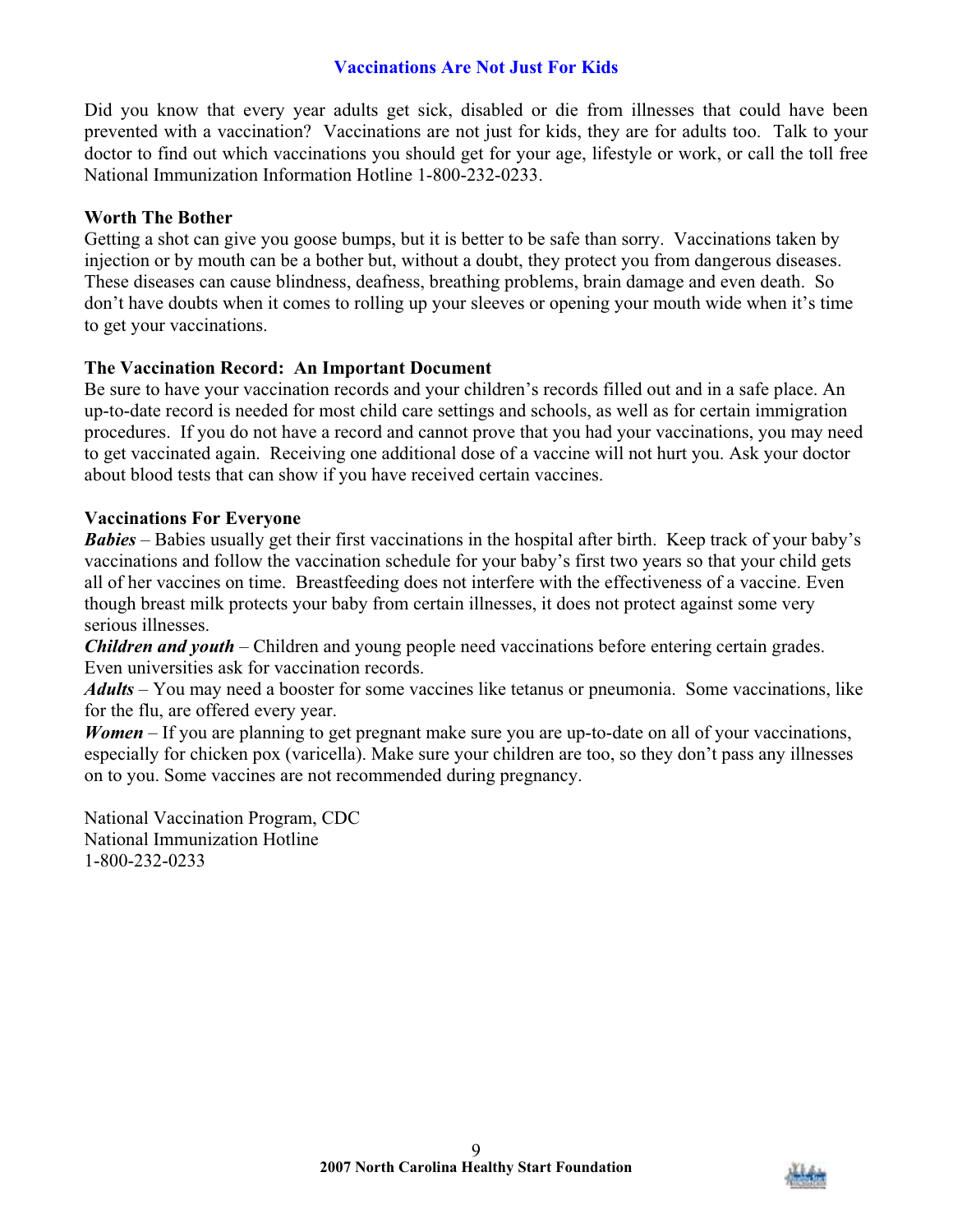# **Vaccinations Are Not Just For Kids**

Did you know that every year adults get sick, disabled or die from illnesses that could have been prevented with a vaccination? Vaccinations are not just for kids, they are for adults too. Talk to your doctor to find out which vaccinations you should get for your age, lifestyle or work, or call the toll free National Immunization Information Hotline 1-800-232-0233.

#### **Worth The Bother**

Getting a shot can give you goose bumps, but it is better to be safe than sorry. Vaccinations taken by injection or by mouth can be a bother but, without a doubt, they protect you from dangerous diseases. These diseases can cause blindness, deafness, breathing problems, brain damage and even death. So don't have doubts when it comes to rolling up your sleeves or opening your mouth wide when it's time to get your vaccinations.

## **The Vaccination Record: An Important Document**

Be sure to have your vaccination records and your children's records filled out and in a safe place. An up-to-date record is needed for most child care settings and schools, as well as for certain immigration procedures. If you do not have a record and cannot prove that you had your vaccinations, you may need to get vaccinated again. Receiving one additional dose of a vaccine will not hurt you. Ask your doctor about blood tests that can show if you have received certain vaccines.

#### **Vaccinations For Everyone**

*Babies* – Babies usually get their first vaccinations in the hospital after birth. Keep track of your baby's vaccinations and follow the vaccination schedule for your baby's first two years so that your child gets all of her vaccines on time. Breastfeeding does not interfere with the effectiveness of a vaccine. Even though breast milk protects your baby from certain illnesses, it does not protect against some very serious illnesses.

*Children and youth* – Children and young people need vaccinations before entering certain grades. Even universities ask for vaccination records.

*Adults* – You may need a booster for some vaccines like tetanus or pneumonia. Some vaccinations, like for the flu, are offered every year.

*Women* – If you are planning to get pregnant make sure you are up-to-date on all of your vaccinations, especially for chicken pox (varicella). Make sure your children are too, so they don't pass any illnesses on to you. Some vaccines are not recommended during pregnancy.

National Vaccination Program, CDC National Immunization Hotline 1-800-232-0233

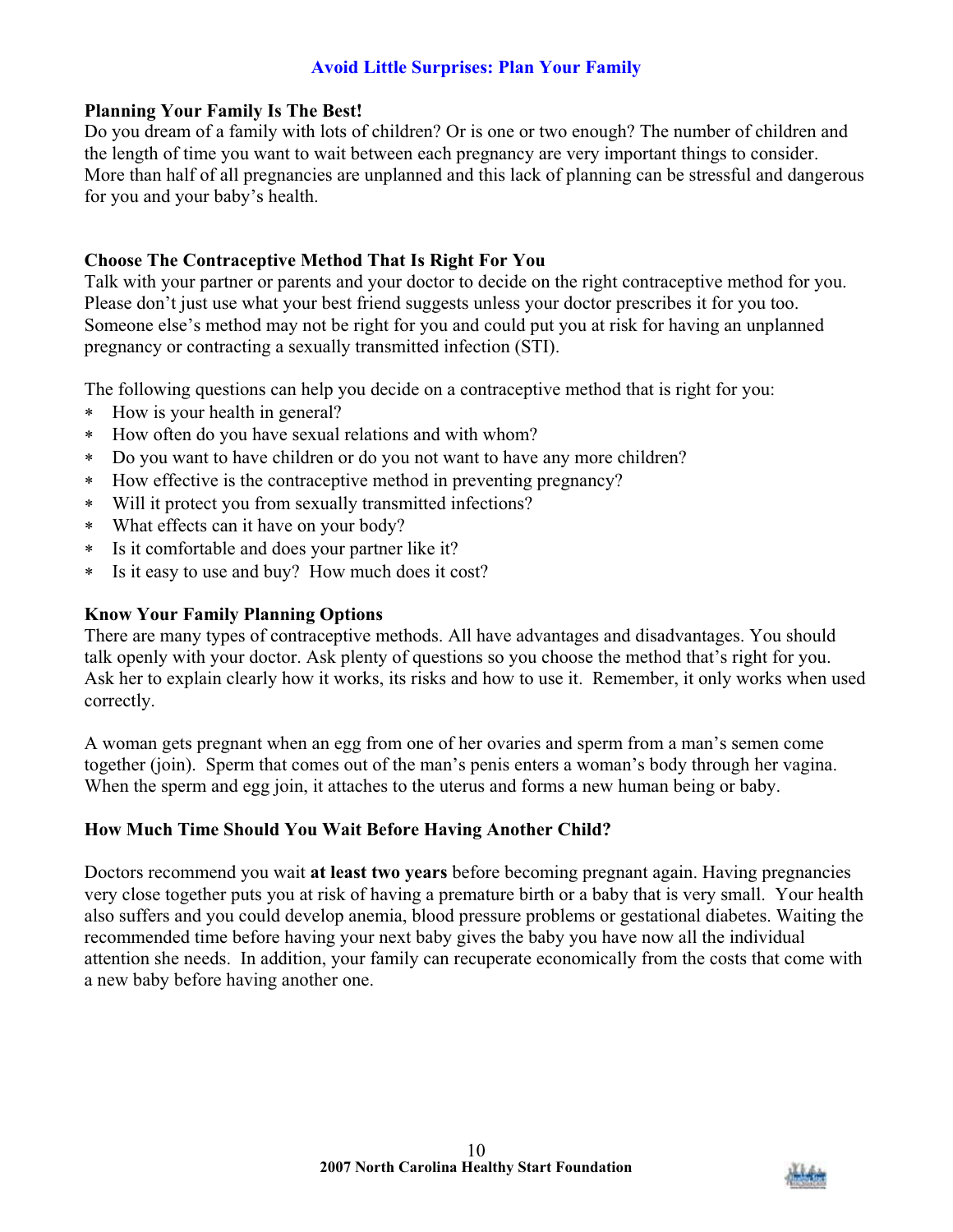# **Avoid Little Surprises: Plan Your Family**

## **Planning Your Family Is The Best!**

Do you dream of a family with lots of children? Or is one or two enough? The number of children and the length of time you want to wait between each pregnancy are very important things to consider. More than half of all pregnancies are unplanned and this lack of planning can be stressful and dangerous for you and your baby's health.

# **Choose The Contraceptive Method That Is Right For You**

Talk with your partner or parents and your doctor to decide on the right contraceptive method for you. Please don't just use what your best friend suggests unless your doctor prescribes it for you too. Someone else's method may not be right for you and could put you at risk for having an unplanned pregnancy or contracting a sexually transmitted infection (STI).

The following questions can help you decide on a contraceptive method that is right for you:

- How is your health in general?
- How often do you have sexual relations and with whom?
- Do you want to have children or do you not want to have any more children?
- How effective is the contraceptive method in preventing pregnancy?
- Will it protect you from sexually transmitted infections?
- What effects can it have on your body?
- Is it comfortable and does your partner like it?
- Is it easy to use and buy? How much does it cost?

# **Know Your Family Planning Options**

There are many types of contraceptive methods. All have advantages and disadvantages. You should talk openly with your doctor. Ask plenty of questions so you choose the method that's right for you. Ask her to explain clearly how it works, its risks and how to use it. Remember, it only works when used correctly.

A woman gets pregnant when an egg from one of her ovaries and sperm from a man's semen come together (join). Sperm that comes out of the man's penis enters a woman's body through her vagina. When the sperm and egg join, it attaches to the uterus and forms a new human being or baby.

# **How Much Time Should You Wait Before Having Another Child?**

Doctors recommend you wait **at least two years** before becoming pregnant again. Having pregnancies very close together puts you at risk of having a premature birth or a baby that is very small. Your health also suffers and you could develop anemia, blood pressure problems or gestational diabetes. Waiting the recommended time before having your next baby gives the baby you have now all the individual attention she needs. In addition, your family can recuperate economically from the costs that come with a new baby before having another one.

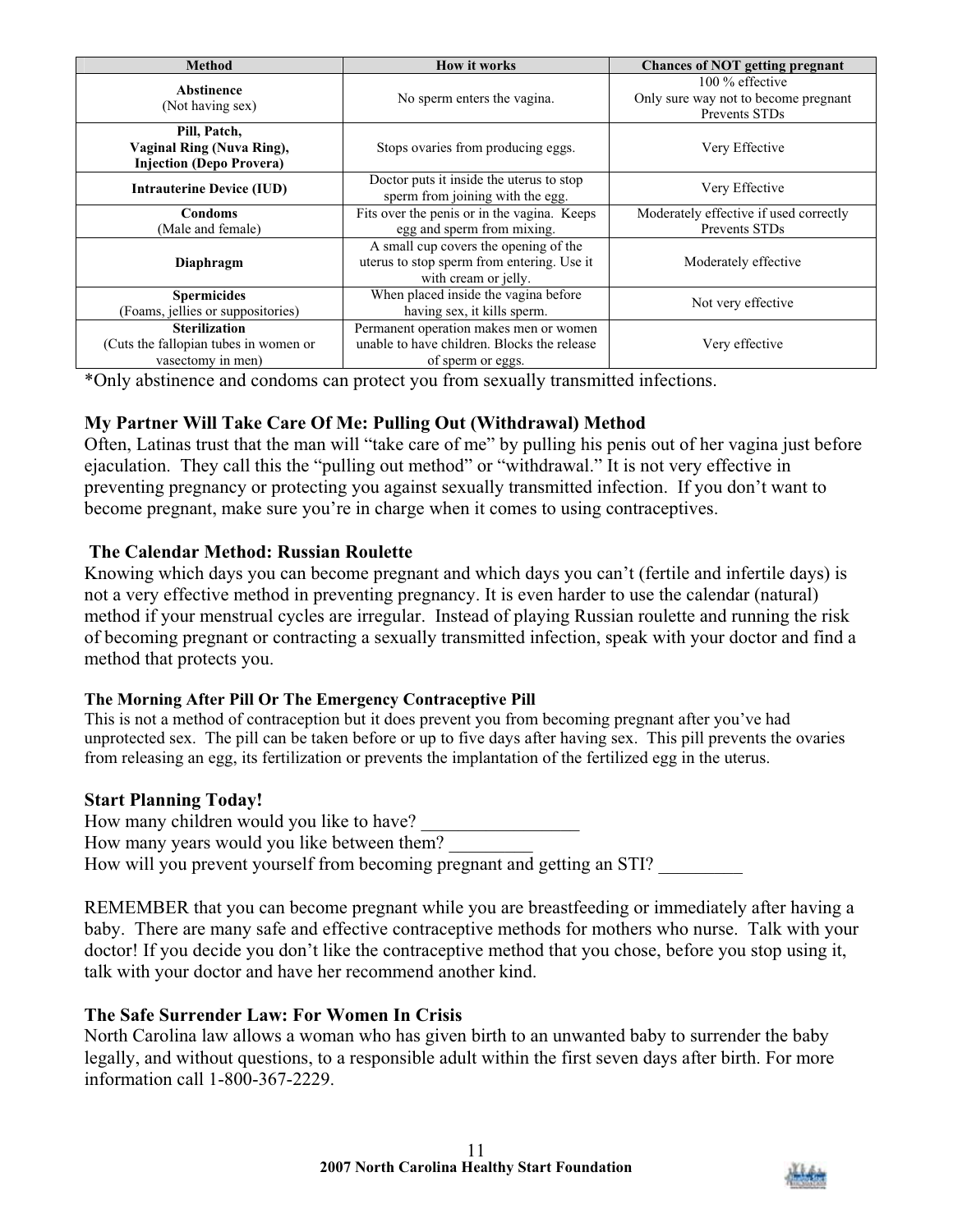| <b>Method</b>                                                                      | <b>How it works</b>                                                                                         | <b>Chances of NOT getting pregnant</b>                                     |
|------------------------------------------------------------------------------------|-------------------------------------------------------------------------------------------------------------|----------------------------------------------------------------------------|
| Abstinence<br>(Not having sex)                                                     | No sperm enters the vagina.                                                                                 | $100\%$ effective<br>Only sure way not to become pregnant<br>Prevents STDs |
| Pill, Patch,<br>Vaginal Ring (Nuva Ring),<br><b>Injection (Depo Provera)</b>       | Stops ovaries from producing eggs.                                                                          | Very Effective                                                             |
| <b>Intrauterine Device (IUD)</b>                                                   | Doctor puts it inside the uterus to stop<br>sperm from joining with the egg.                                | Very Effective                                                             |
| <b>Condoms</b><br>(Male and female)                                                | Fits over the penis or in the vagina. Keeps<br>egg and sperm from mixing.                                   | Moderately effective if used correctly<br>Prevents STDs                    |
| Diaphragm                                                                          | A small cup covers the opening of the<br>uterus to stop sperm from entering. Use it<br>with cream or jelly. | Moderately effective                                                       |
| <b>Spermicides</b><br>(Foams, jellies or suppositories)                            | When placed inside the vagina before<br>having sex, it kills sperm.                                         | Not very effective                                                         |
| <b>Sterilization</b><br>(Cuts the fallopian tubes in women or<br>vasectomy in men) | Permanent operation makes men or women<br>unable to have children. Blocks the release<br>of sperm or eggs.  | Very effective                                                             |

\*Only abstinence and condoms can protect you from sexually transmitted infections.

# **My Partner Will Take Care Of Me: Pulling Out (Withdrawal) Method**

Often, Latinas trust that the man will "take care of me" by pulling his penis out of her vagina just before ejaculation. They call this the "pulling out method" or "withdrawal." It is not very effective in preventing pregnancy or protecting you against sexually transmitted infection. If you don't want to become pregnant, make sure you're in charge when it comes to using contraceptives.

# **The Calendar Method: Russian Roulette**

Knowing which days you can become pregnant and which days you can't (fertile and infertile days) is not a very effective method in preventing pregnancy. It is even harder to use the calendar (natural) method if your menstrual cycles are irregular. Instead of playing Russian roulette and running the risk of becoming pregnant or contracting a sexually transmitted infection, speak with your doctor and find a method that protects you.

# **The Morning After Pill Or The Emergency Contraceptive Pill**

This is not a method of contraception but it does prevent you from becoming pregnant after you've had unprotected sex. The pill can be taken before or up to five days after having sex. This pill prevents the ovaries from releasing an egg, its fertilization or prevents the implantation of the fertilized egg in the uterus.

# **Start Planning Today!**

How many children would you like to have? How many years would you like between them? How will you prevent yourself from becoming pregnant and getting an STI?

REMEMBER that you can become pregnant while you are breastfeeding or immediately after having a baby. There are many safe and effective contraceptive methods for mothers who nurse. Talk with your doctor! If you decide you don't like the contraceptive method that you chose, before you stop using it, talk with your doctor and have her recommend another kind.

# **The Safe Surrender Law: For Women In Crisis**

North Carolina law allows a woman who has given birth to an unwanted baby to surrender the baby legally, and without questions, to a responsible adult within the first seven days after birth. For more information call 1-800-367-2229.

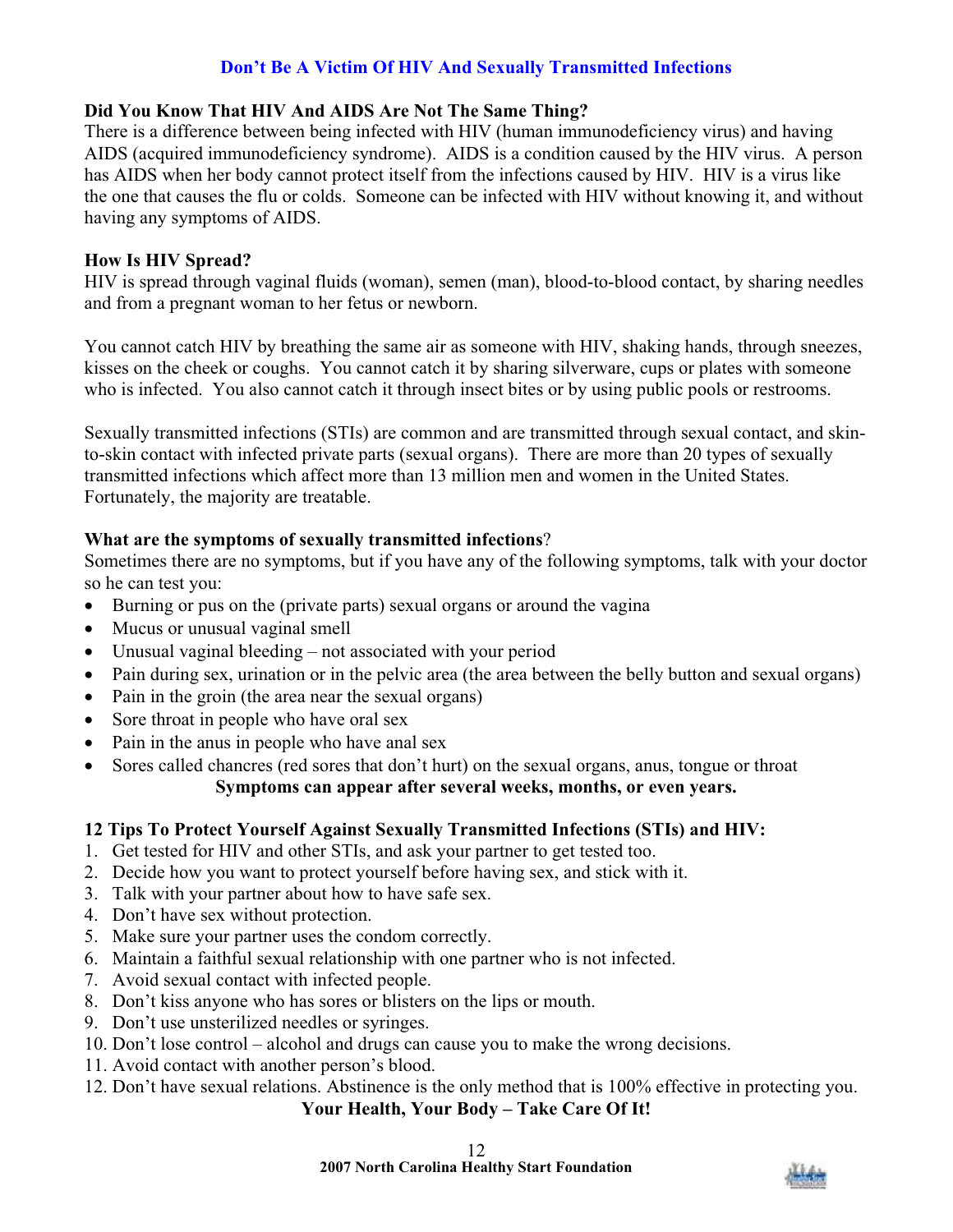# **Don't Be A Victim Of HIV And Sexually Transmitted Infections**

# **Did You Know That HIV And AIDS Are Not The Same Thing?**

There is a difference between being infected with HIV (human immunodeficiency virus) and having AIDS (acquired immunodeficiency syndrome). AIDS is a condition caused by the HIV virus. A person has AIDS when her body cannot protect itself from the infections caused by HIV. HIV is a virus like the one that causes the flu or colds. Someone can be infected with HIV without knowing it, and without having any symptoms of AIDS.

## **How Is HIV Spread?**

HIV is spread through vaginal fluids (woman), semen (man), blood-to-blood contact, by sharing needles and from a pregnant woman to her fetus or newborn.

You cannot catch HIV by breathing the same air as someone with HIV, shaking hands, through sneezes, kisses on the cheek or coughs. You cannot catch it by sharing silverware, cups or plates with someone who is infected. You also cannot catch it through insect bites or by using public pools or restrooms.

Sexually transmitted infections (STIs) are common and are transmitted through sexual contact, and skinto-skin contact with infected private parts (sexual organs). There are more than 20 types of sexually transmitted infections which affect more than 13 million men and women in the United States. Fortunately, the majority are treatable.

## **What are the symptoms of sexually transmitted infections**?

Sometimes there are no symptoms, but if you have any of the following symptoms, talk with your doctor so he can test you:

- Burning or pus on the (private parts) sexual organs or around the vagina
- Mucus or unusual vaginal smell
- Unusual vaginal bleeding not associated with your period
- Pain during sex, urination or in the pelvic area (the area between the belly button and sexual organs)
- Pain in the groin (the area near the sexual organs)
- $\bullet$  Sore throat in people who have oral sex
- Pain in the anus in people who have anal sex
- Sores called chancres (red sores that don't hurt) on the sexual organs, anus, tongue or throat **Symptoms can appear after several weeks, months, or even years.**

# **12 Tips To Protect Yourself Against Sexually Transmitted Infections (STIs) and HIV:**

- 1. Get tested for HIV and other STIs, and ask your partner to get tested too.
- 2. Decide how you want to protect yourself before having sex, and stick with it.
- 3. Talk with your partner about how to have safe sex.
- 4. Don't have sex without protection.
- 5. Make sure your partner uses the condom correctly.
- 6. Maintain a faithful sexual relationship with one partner who is not infected.
- 7. Avoid sexual contact with infected people.
- 8. Don't kiss anyone who has sores or blisters on the lips or mouth.
- 9. Don't use unsterilized needles or syringes.
- 10. Don't lose control alcohol and drugs can cause you to make the wrong decisions.
- 11. Avoid contact with another person's blood.
- 12. Don't have sexual relations. Abstinence is the only method that is 100% effective in protecting you.

**Your Health, Your Body – Take Care Of It!**

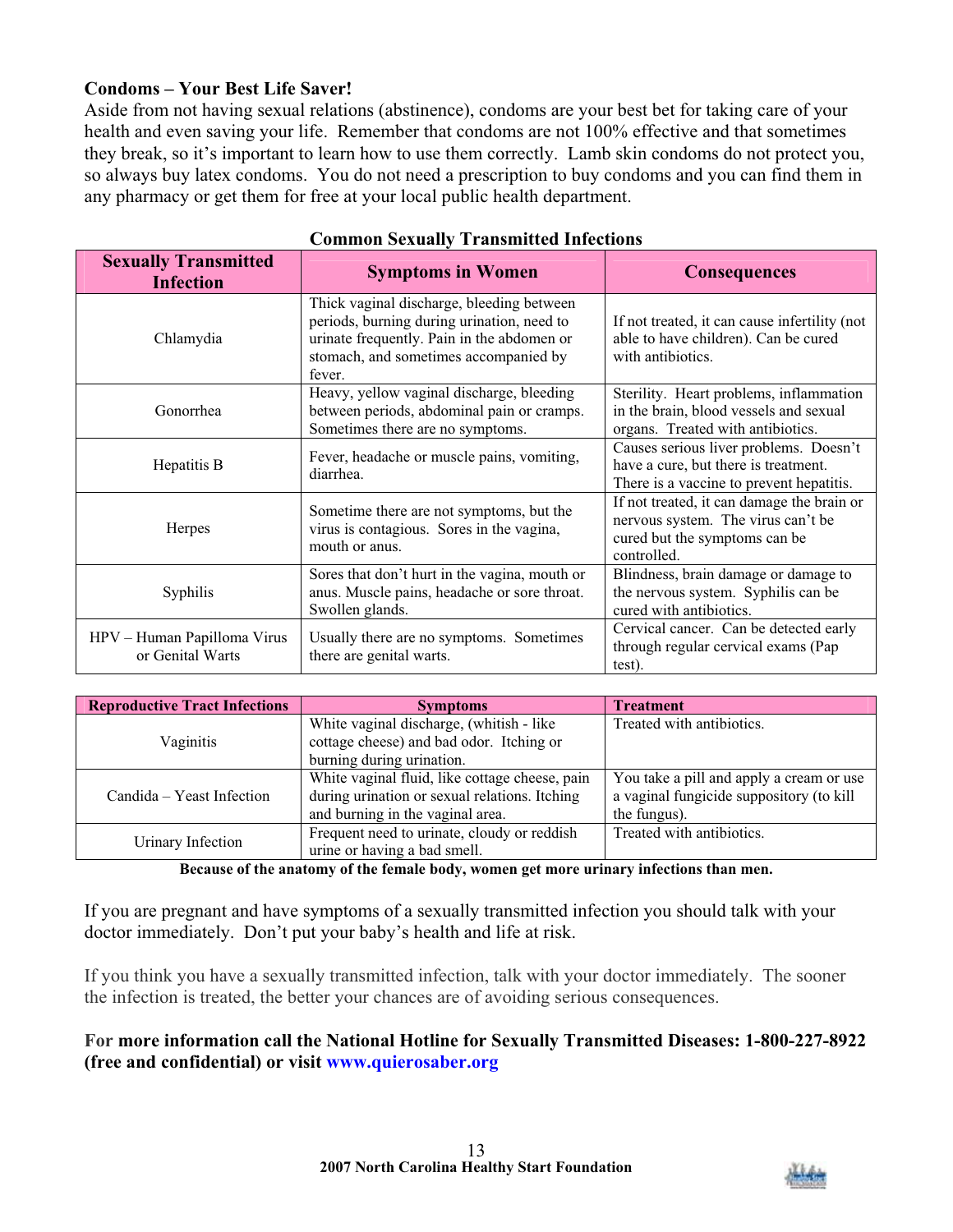## **Condoms – Your Best Life Saver!**

Aside from not having sexual relations (abstinence), condoms are your best bet for taking care of your health and even saving your life. Remember that condoms are not 100% effective and that sometimes they break, so it's important to learn how to use them correctly. Lamb skin condoms do not protect you, so always buy latex condoms. You do not need a prescription to buy condoms and you can find them in any pharmacy or get them for free at your local public health department.

| <b>Sexually Transmitted</b><br><b>Infection</b> | <b>Symptoms in Women</b>                                                                                                                                                                 | <b>Consequences</b>                                                                                                              |
|-------------------------------------------------|------------------------------------------------------------------------------------------------------------------------------------------------------------------------------------------|----------------------------------------------------------------------------------------------------------------------------------|
| Chlamydia                                       | Thick vaginal discharge, bleeding between<br>periods, burning during urination, need to<br>urinate frequently. Pain in the abdomen or<br>stomach, and sometimes accompanied by<br>fever. | If not treated, it can cause infertility (not<br>able to have children). Can be cured<br>with antibiotics.                       |
| Gonorrhea                                       | Heavy, yellow vaginal discharge, bleeding<br>between periods, abdominal pain or cramps.<br>Sometimes there are no symptoms.                                                              | Sterility. Heart problems, inflammation<br>in the brain, blood vessels and sexual<br>organs. Treated with antibiotics.           |
| Hepatitis B                                     | Fever, headache or muscle pains, vomiting,<br>diarrhea.                                                                                                                                  | Causes serious liver problems. Doesn't<br>have a cure, but there is treatment.<br>There is a vaccine to prevent hepatitis.       |
| Herpes                                          | Sometime there are not symptoms, but the<br>virus is contagious. Sores in the vagina,<br>mouth or anus.                                                                                  | If not treated, it can damage the brain or<br>nervous system. The virus can't be<br>cured but the symptoms can be<br>controlled. |
| Syphilis                                        | Sores that don't hurt in the vagina, mouth or<br>anus. Muscle pains, headache or sore throat.<br>Swollen glands.                                                                         | Blindness, brain damage or damage to<br>the nervous system. Syphilis can be<br>cured with antibiotics.                           |
| HPV - Human Papilloma Virus<br>or Genital Warts | Usually there are no symptoms. Sometimes<br>there are genital warts.                                                                                                                     | Cervical cancer. Can be detected early<br>through regular cervical exams (Pap<br>test).                                          |

#### **Common Sexually Transmitted Infections**

| <b>Reproductive Tract Infections</b> | <b>Symptoms</b>                                | <b>Treatment</b>                         |
|--------------------------------------|------------------------------------------------|------------------------------------------|
|                                      | White vaginal discharge, (whitish - like       | Treated with antibiotics.                |
| Vaginitis                            | cottage cheese) and bad odor. Itching or       |                                          |
|                                      | burning during urination.                      |                                          |
|                                      | White vaginal fluid, like cottage cheese, pain | You take a pill and apply a cream or use |
| Candida – Yeast Infection            | during urination or sexual relations. Itching  | a vaginal fungicide suppository (to kill |
|                                      | and burning in the vaginal area.               | the fungus).                             |
|                                      | Frequent need to urinate, cloudy or reddish    | Treated with antibiotics.                |
| Urinary Infection                    | urine or having a bad smell.                   |                                          |

**Because of the anatomy of the female body, women get more urinary infections than men.** 

If you are pregnant and have symptoms of a sexually transmitted infection you should talk with your doctor immediately. Don't put your baby's health and life at risk.

If you think you have a sexually transmitted infection, talk with your doctor immediately. The sooner the infection is treated, the better your chances are of avoiding serious consequences.

## **For more information call the National Hotline for Sexually Transmitted Diseases: 1-800-227-8922 (free and confidential) or visit www.quierosaber.org**

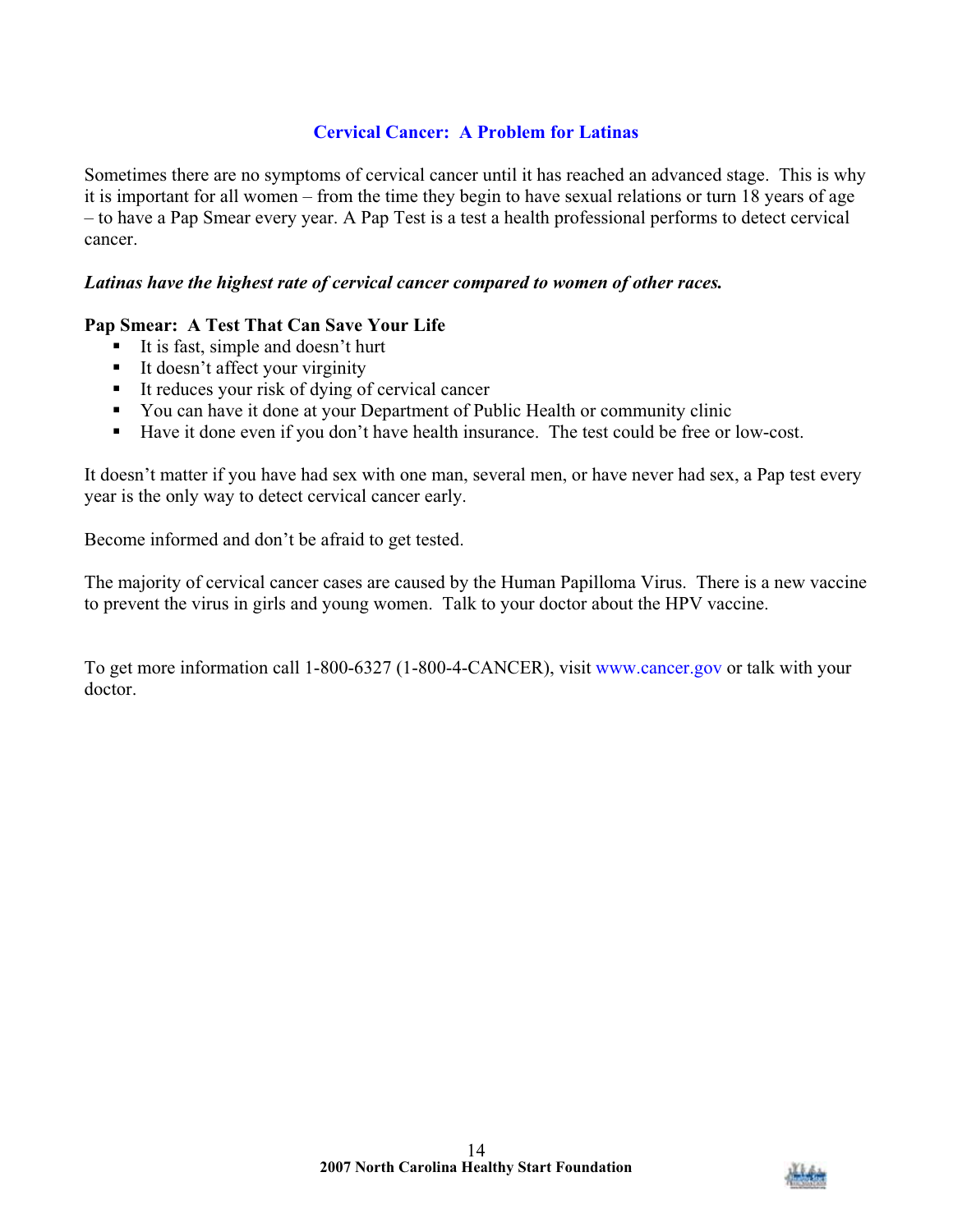# **Cervical Cancer: A Problem for Latinas**

Sometimes there are no symptoms of cervical cancer until it has reached an advanced stage. This is why it is important for all women – from the time they begin to have sexual relations or turn 18 years of age – to have a Pap Smear every year. A Pap Test is a test a health professional performs to detect cervical cancer.

#### *Latinas have the highest rate of cervical cancer compared to women of other races.*

## **Pap Smear: A Test That Can Save Your Life**

- $\blacksquare$  It is fast, simple and doesn't hurt
- It doesn't affect your virginity
- It reduces your risk of dying of cervical cancer
- You can have it done at your Department of Public Health or community clinic
- Have it done even if you don't have health insurance. The test could be free or low-cost.

It doesn't matter if you have had sex with one man, several men, or have never had sex, a Pap test every year is the only way to detect cervical cancer early.

Become informed and don't be afraid to get tested.

The majority of cervical cancer cases are caused by the Human Papilloma Virus. There is a new vaccine to prevent the virus in girls and young women. Talk to your doctor about the HPV vaccine.

To get more information call 1-800-6327 (1-800-4-CANCER), visit www.cancer.gov or talk with your doctor.

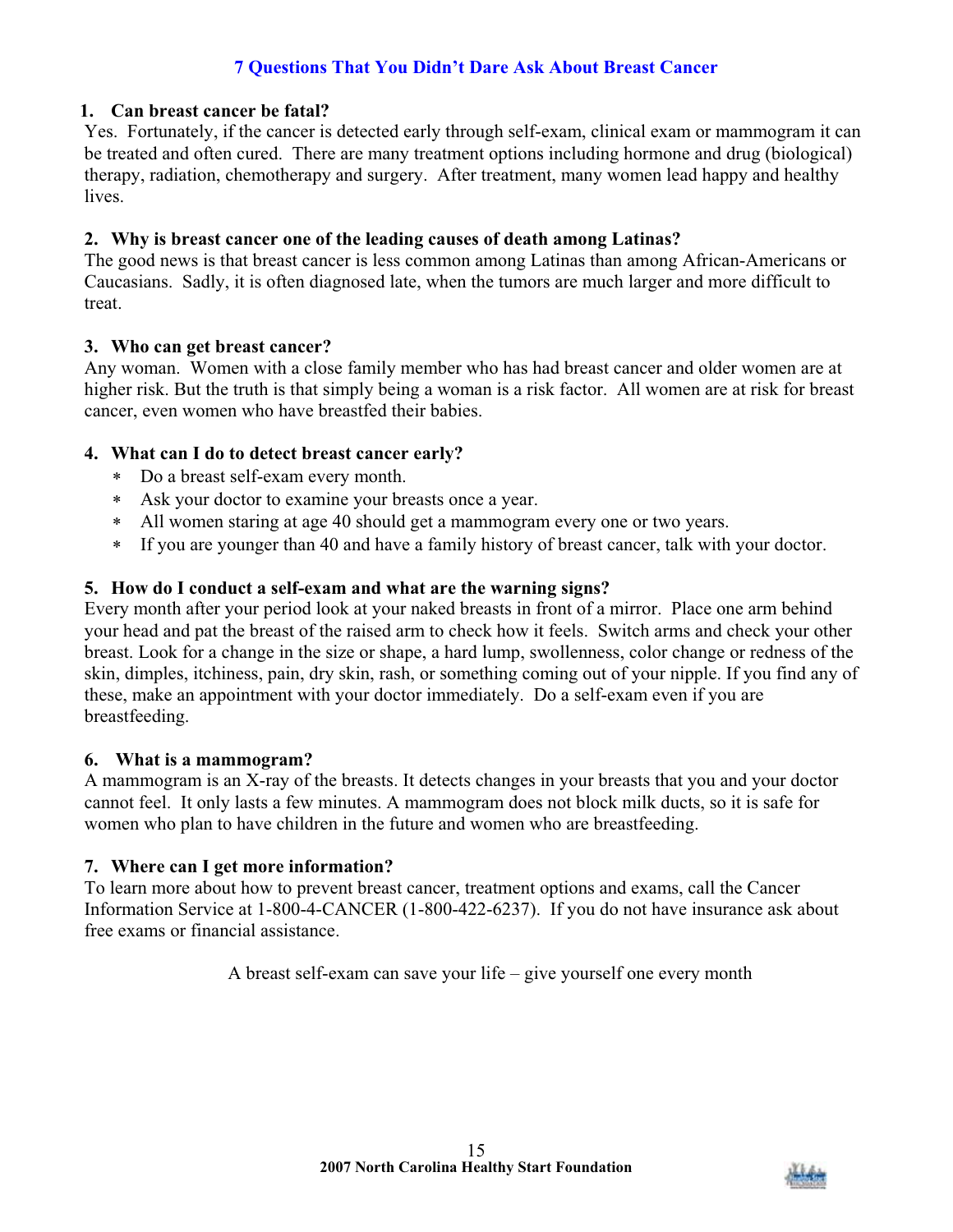# **7 Questions That You Didn't Dare Ask About Breast Cancer**

#### **1. Can breast cancer be fatal?**

Yes. Fortunately, if the cancer is detected early through self-exam, clinical exam or mammogram it can be treated and often cured. There are many treatment options including hormone and drug (biological) therapy, radiation, chemotherapy and surgery. After treatment, many women lead happy and healthy lives.

# **2. Why is breast cancer one of the leading causes of death among Latinas?**

The good news is that breast cancer is less common among Latinas than among African-Americans or Caucasians. Sadly, it is often diagnosed late, when the tumors are much larger and more difficult to treat.

#### **3. Who can get breast cancer?**

Any woman. Women with a close family member who has had breast cancer and older women are at higher risk. But the truth is that simply being a woman is a risk factor. All women are at risk for breast cancer, even women who have breastfed their babies.

## **4. What can I do to detect breast cancer early?**

- Do a breast self-exam every month.
- Ask your doctor to examine your breasts once a year.
- All women staring at age 40 should get a mammogram every one or two years.
- If you are younger than 40 and have a family history of breast cancer, talk with your doctor.

## **5. How do I conduct a self-exam and what are the warning signs?**

Every month after your period look at your naked breasts in front of a mirror. Place one arm behind your head and pat the breast of the raised arm to check how it feels. Switch arms and check your other breast. Look for a change in the size or shape, a hard lump, swollenness, color change or redness of the skin, dimples, itchiness, pain, dry skin, rash, or something coming out of your nipple. If you find any of these, make an appointment with your doctor immediately. Do a self-exam even if you are breastfeeding.

#### **6. What is a mammogram?**

A mammogram is an X-ray of the breasts. It detects changes in your breasts that you and your doctor cannot feel. It only lasts a few minutes. A mammogram does not block milk ducts, so it is safe for women who plan to have children in the future and women who are breastfeeding.

#### **7. Where can I get more information?**

To learn more about how to prevent breast cancer, treatment options and exams, call the Cancer Information Service at 1-800-4-CANCER (1-800-422-6237). If you do not have insurance ask about free exams or financial assistance.

A breast self-exam can save your life – give yourself one every month

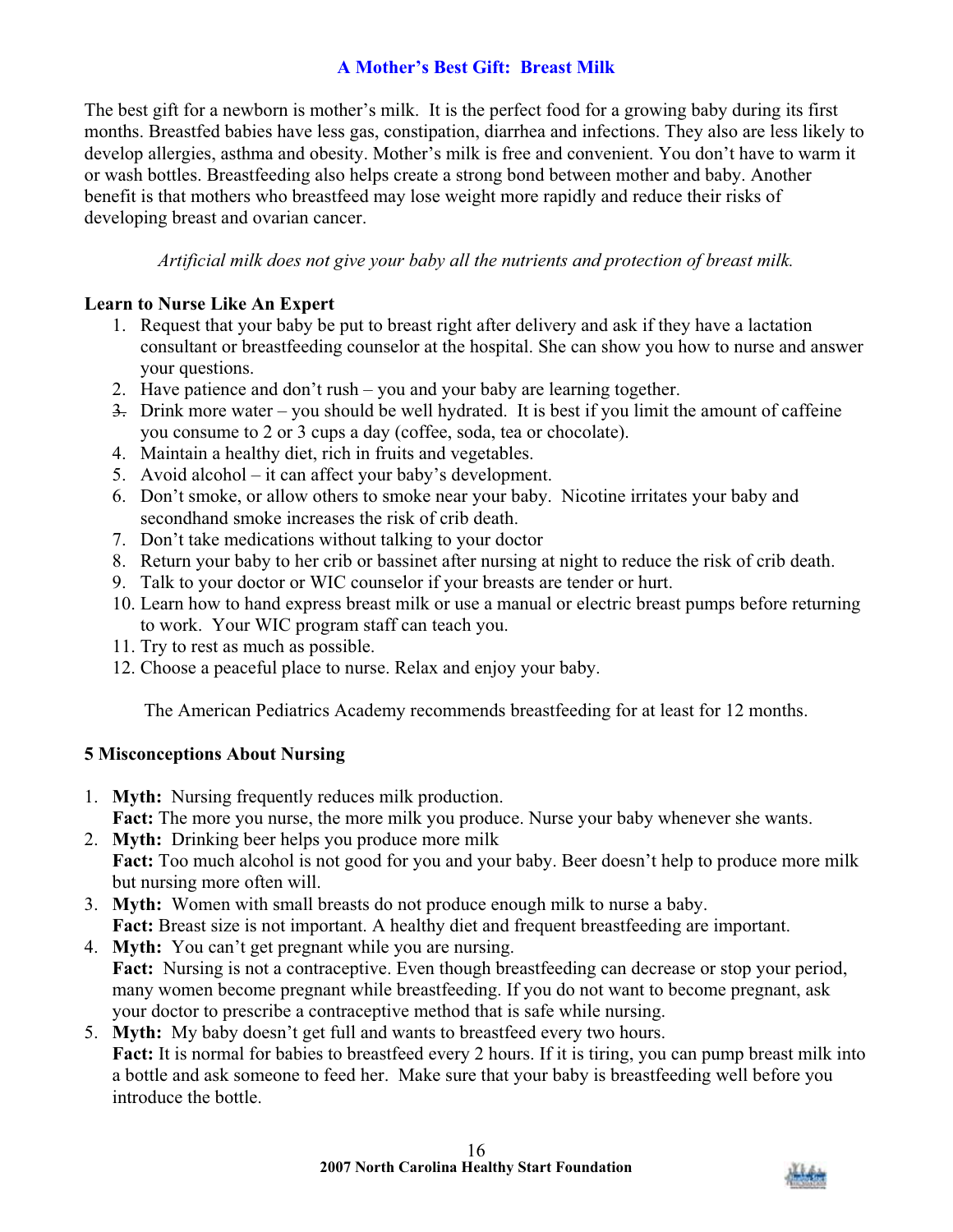# **A Mother's Best Gift: Breast Milk**

The best gift for a newborn is mother's milk. It is the perfect food for a growing baby during its first months. Breastfed babies have less gas, constipation, diarrhea and infections. They also are less likely to develop allergies, asthma and obesity. Mother's milk is free and convenient. You don't have to warm it or wash bottles. Breastfeeding also helps create a strong bond between mother and baby. Another benefit is that mothers who breastfeed may lose weight more rapidly and reduce their risks of developing breast and ovarian cancer.

*Artificial milk does not give your baby all the nutrients and protection of breast milk.*

# **Learn to Nurse Like An Expert**

- 1. Request that your baby be put to breast right after delivery and ask if they have a lactation consultant or breastfeeding counselor at the hospital. She can show you how to nurse and answer your questions.
- 2. Have patience and don't rush you and your baby are learning together.
- 3. Drink more water you should be well hydrated. It is best if you limit the amount of caffeine you consume to 2 or 3 cups a day (coffee, soda, tea or chocolate).
- 4. Maintain a healthy diet, rich in fruits and vegetables.
- 5. Avoid alcohol it can affect your baby's development.
- 6. Don't smoke, or allow others to smoke near your baby. Nicotine irritates your baby and secondhand smoke increases the risk of crib death.
- 7. Don't take medications without talking to your doctor
- 8. Return your baby to her crib or bassinet after nursing at night to reduce the risk of crib death.
- 9. Talk to your doctor or WIC counselor if your breasts are tender or hurt.
- 10. Learn how to hand express breast milk or use a manual or electric breast pumps before returning to work. Your WIC program staff can teach you.
- 11. Try to rest as much as possible.
- 12. Choose a peaceful place to nurse. Relax and enjoy your baby.

The American Pediatrics Academy recommends breastfeeding for at least for 12 months.

# **5 Misconceptions About Nursing**

- 1. **Myth:** Nursing frequently reduces milk production.
	- **Fact:** The more you nurse, the more milk you produce. Nurse your baby whenever she wants.
- 2. **Myth:** Drinking beer helps you produce more milk **Fact:** Too much alcohol is not good for you and your baby. Beer doesn't help to produce more milk but nursing more often will.
- 3. **Myth:** Women with small breasts do not produce enough milk to nurse a baby. **Fact:** Breast size is not important. A healthy diet and frequent breastfeeding are important.
- 4. **Myth:** You can't get pregnant while you are nursing. Fact: Nursing is not a contraceptive. Even though breastfeeding can decrease or stop your period, many women become pregnant while breastfeeding. If you do not want to become pregnant, ask your doctor to prescribe a contraceptive method that is safe while nursing.
- 5. **Myth:** My baby doesn't get full and wants to breastfeed every two hours. **Fact:** It is normal for babies to breastfeed every 2 hours. If it is tiring, you can pump breast milk into a bottle and ask someone to feed her. Make sure that your baby is breastfeeding well before you introduce the bottle.

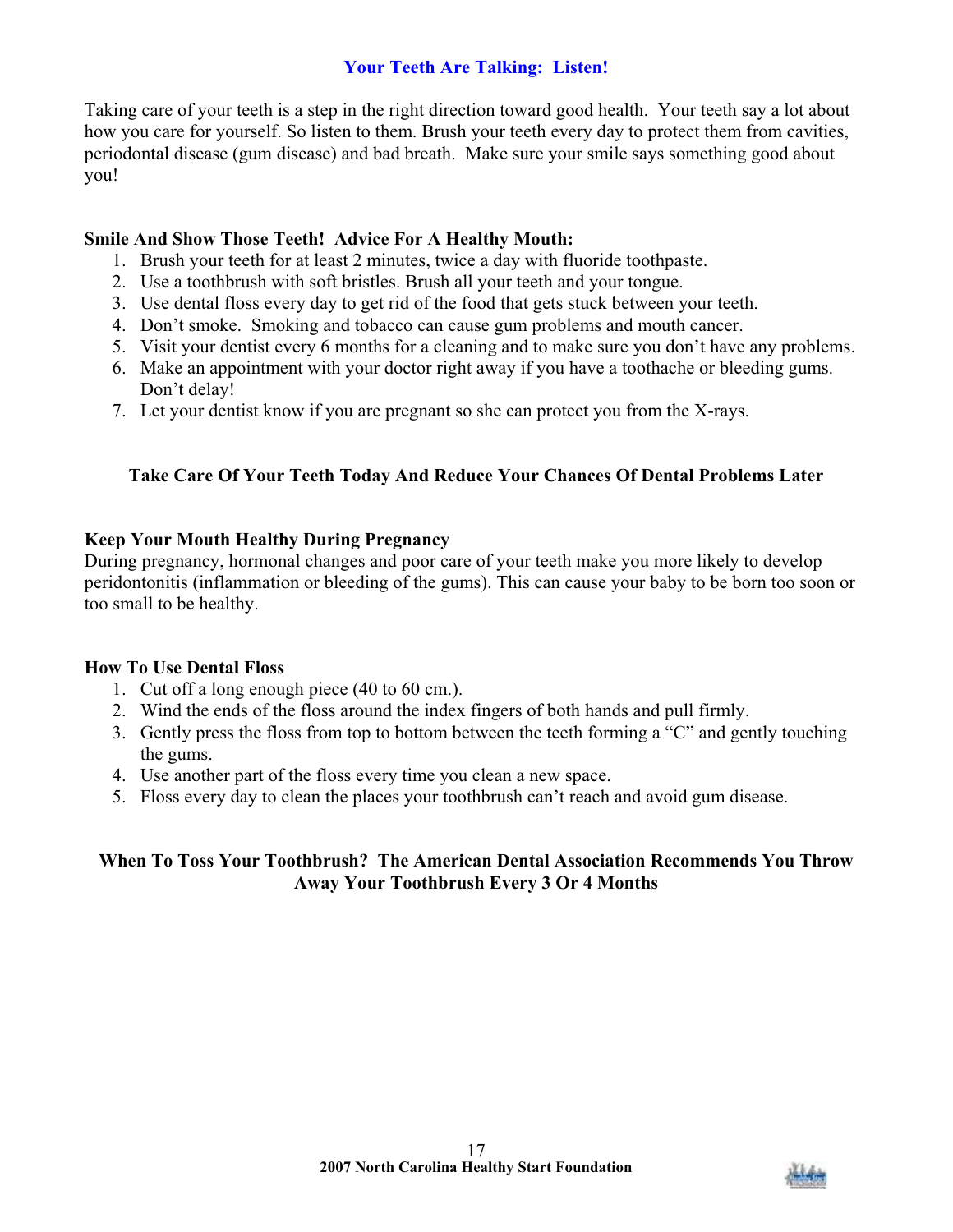# **Your Teeth Are Talking: Listen!**

Taking care of your teeth is a step in the right direction toward good health. Your teeth say a lot about how you care for yourself. So listen to them. Brush your teeth every day to protect them from cavities, periodontal disease (gum disease) and bad breath. Make sure your smile says something good about you!

# **Smile And Show Those Teeth! Advice For A Healthy Mouth:**

- 1. Brush your teeth for at least 2 minutes, twice a day with fluoride toothpaste.
- 2. Use a toothbrush with soft bristles. Brush all your teeth and your tongue.
- 3. Use dental floss every day to get rid of the food that gets stuck between your teeth.
- 4. Don't smoke. Smoking and tobacco can cause gum problems and mouth cancer.
- 5. Visit your dentist every 6 months for a cleaning and to make sure you don't have any problems.
- 6. Make an appointment with your doctor right away if you have a toothache or bleeding gums. Don't delay!
- 7. Let your dentist know if you are pregnant so she can protect you from the X-rays.

# **Take Care Of Your Teeth Today And Reduce Your Chances Of Dental Problems Later**

## **Keep Your Mouth Healthy During Pregnancy**

During pregnancy, hormonal changes and poor care of your teeth make you more likely to develop peridontonitis (inflammation or bleeding of the gums). This can cause your baby to be born too soon or too small to be healthy.

#### **How To Use Dental Floss**

- 1. Cut off a long enough piece (40 to 60 cm.).
- 2. Wind the ends of the floss around the index fingers of both hands and pull firmly.
- 3. Gently press the floss from top to bottom between the teeth forming a "C" and gently touching the gums.
- 4. Use another part of the floss every time you clean a new space.
- 5. Floss every day to clean the places your toothbrush can't reach and avoid gum disease.

# **When To Toss Your Toothbrush? The American Dental Association Recommends You Throw Away Your Toothbrush Every 3 Or 4 Months**